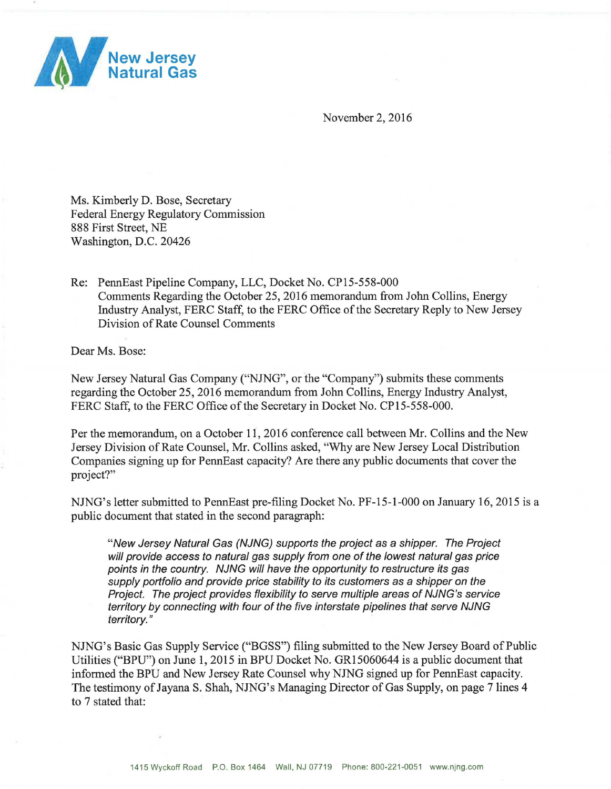

November 2, 2016

Ms. Kimberly D. Bose, Secretary Federal Energy Regulatory Commission 888 First Street, NE Washington, D.C. 20426

Re: PennEast Pipeline Company, LLC, Docket No. CP15-558-000 Comments Regarding the October 25,2016 memorandum from John Collins, Energy Industry Analyst, FERC Staff, to the FERC Office of the Secretary Reply to New Jersey Division of Rate Counsel Comments

Dear Ms. Bose:

New Jersey Natural Gas Company ("NJNG", or the "Company") submits these comments regarding the October 25, 2016 memorandum from John Collins, Energy Industry Analyst, FERC Staff, to the FERC Office of the Secretary in Docket No. CP15-558-000.

Per the memorandum, on a October 11, 2016 conference call between Mr. Collins and the New Jersey Division of Rate Counsel, Mr. Collins asked, "Why are New Jersey Local Distribution Companies signing up for PennEast capacity? Are there any public documents that cover the project?"

NJNG's letter submitted to PennEast pre-filing Docket No. PF-15-1-000 on January 16, 2015 is a public document that stated in the second paragraph:

"New Jersey Natural Gas (NJNG) supports the project as a shipper. The Project will provide access to natural gas supply from one of the lowest natural gas price points in the country. NJNG will have the opportunity to restructure its gas supply portfolio and provide price stability to its customers as a shipper on the Project. The project provides flexibility to serve multiple areas of NJNG's service territory by connecting with four of the five interstate pipelines that serve NJNG territory. "

NJNG's Basic Gas Supply Service ("BGSS") filing submitted to the New Jersey Board of Public Utilities ("BPU") on June 1, 2015 in BPU Docket No. GR15060644 is a public document that informed the BPU and New Jersey Rate Counsel why NJNG signed up for PennEast capacity. The testimony of Jayana S. Shah, NJNG's Managing Director of Gas Supply, on page 7 lines 4 to 7 stated that: